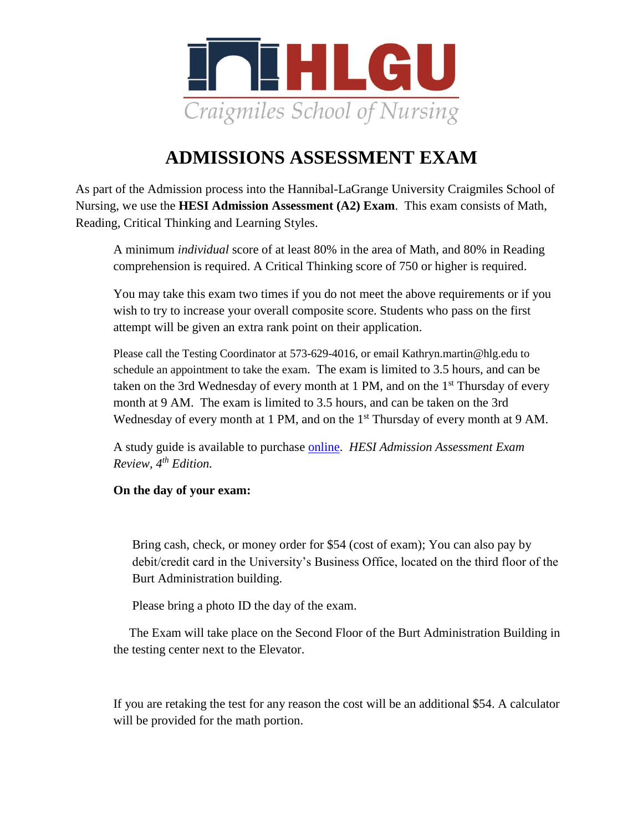

## **ADMISSIONS ASSESSMENT EXAM**

As part of the Admission process into the Hannibal-LaGrange University Craigmiles School of Nursing, we use the **HESI Admission Assessment (A2) Exam**. This exam consists of Math, Reading, Critical Thinking and Learning Styles.

A minimum *individual* score of at least 80% in the area of Math, and 80% in Reading comprehension is required. A Critical Thinking score of 750 or higher is required.

You may take this exam two times if you do not meet the above requirements or if you wish to try to increase your overall composite score. Students who pass on the first attempt will be given an extra rank point on their application.

Please call the Testing Coordinator at 573-629-4016, or email Kathryn.martin@hlg.edu to schedule an appointment to take the exam. The exam is limited to 3.5 hours, and can be taken on the 3rd Wednesday of every month at 1 PM, and on the  $1<sup>st</sup>$  Thursday of every month at 9 AM. The exam is limited to 3.5 hours, and can be taken on the 3rd Wednesday of every month at 1 PM, and on the  $1<sup>st</sup>$  Thursday of every month at 9 AM.

A study guide is available to purchase [online.](https://www.amazon.com/Admission-Assessment-Exam-Review-4e/dp/0323353789/ref=sr_1_1?s=books&ie=UTF8&qid=1475174943&sr=1-1&keywords=HESI+Admission+Assessment+Exam+Review%2C+4th+Edition.) *HESI Admission Assessment Exam Review, 4th Edition.* 

## **On the day of your exam:**

Bring cash, check, or money order for \$54 (cost of exam); You can also pay by debit/credit card in the University's Business Office, located on the third floor of the Burt Administration building.

Please bring a photo ID the day of the exam.

The Exam will take place on the Second Floor of the Burt Administration Building in the testing center next to the Elevator.

If you are retaking the test for any reason the cost will be an additional \$54. A calculator will be provided for the math portion.